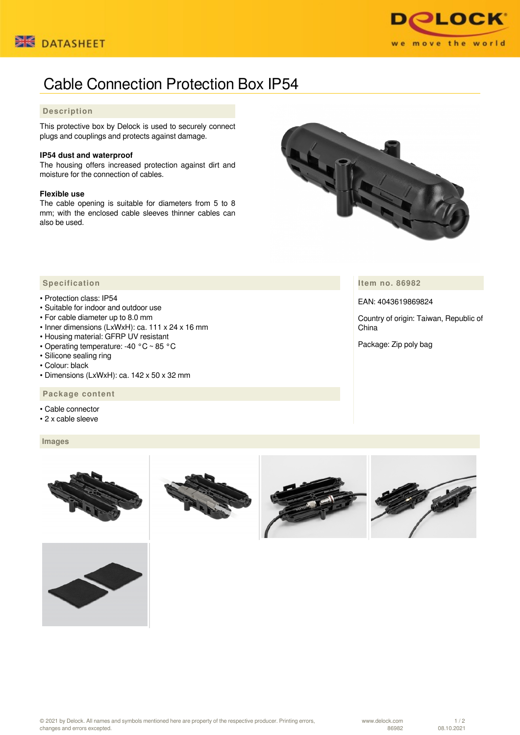



# Cable Connection Protection Box IP54

### **Description**

This protective box by Delock is used to securely connect plugs and couplings and protects against damage.

#### **IP54 dust and waterproof**

The housing offers increased protection against dirt and moisture for the connection of cables.

#### **Flexible use**

The cable opening is suitable for diameters from 5 to 8 mm; with the enclosed cable sleeves thinner cables can also be used.



**Item no. 86982**

EAN: 4043619869824

Country of origin: Taiwan, Republic of China

Package: Zip poly bag

## **Specification**

#### • Protection class: IP54

- Suitable for indoor and outdoor use
- For cable diameter up to 8.0 mm
- Inner dimensions (LxWxH): ca. 111 x 24 x 16 mm
- Housing material: GFRP UV resistant
- Operating temperature: -40 °C ~ 85 °C
- Silicone sealing ring
- Colour: black
- Dimensions (LxWxH): ca. 142 x 50 x 32 mm

#### **Package content**

• Cable connector

• 2 x cable sleeve

 **Images**